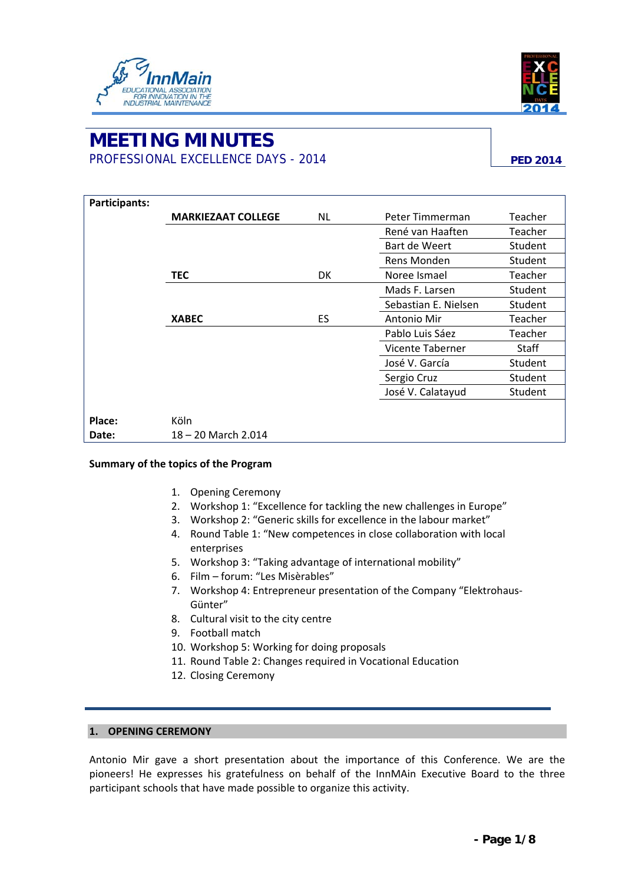



# **MEETING MINUTES**  PROFESSIONAL EXCELLENCE DAYS - 2014 **PED 2014 PED 2014**

| Participants: |                           |     |                      |              |
|---------------|---------------------------|-----|----------------------|--------------|
|               | <b>MARKIEZAAT COLLEGE</b> | NL. | Peter Timmerman      | Teacher      |
|               |                           |     | René van Haaften     | Teacher      |
|               |                           |     | Bart de Weert        | Student      |
|               |                           |     | Rens Monden          | Student      |
|               | <b>TEC</b>                | DK  | Noree Ismael         | Teacher      |
|               |                           |     | Mads F. Larsen       | Student      |
|               |                           |     | Sebastian E. Nielsen | Student      |
|               | <b>XABEC</b>              | ES  | Antonio Mir          | Teacher      |
|               |                           |     | Pablo Luis Sáez      | Teacher      |
|               |                           |     | Vicente Taberner     | <b>Staff</b> |
|               |                           |     | José V. García       | Student      |
|               |                           |     | Sergio Cruz          | Student      |
|               |                           |     | José V. Calatayud    | Student      |
|               |                           |     |                      |              |
| Place:        | Köln                      |     |                      |              |
| Date:         | 18 - 20 March 2.014       |     |                      |              |

## **Summary of the topics of the Program**

- 1. Opening Ceremony
- 2. Workshop 1: "Excellence for tackling the new challenges in Europe"
- 3. Workshop 2: "Generic skills for excellence in the labour market"
- 4. Round Table 1: "New competences in close collaboration with local enterprises
- 5. Workshop 3: "Taking advantage of international mobility"
- 6. Film forum: "Les Misèrables"
- 7. Workshop 4: Entrepreneur presentation of the Company "Elektrohaus‐ Günter"
- 8. Cultural visit to the city centre
- 9. Football match
- 10. Workshop 5: Working for doing proposals
- 11. Round Table 2: Changes required in Vocational Education
- 12. Closing Ceremony

# **1. OPENING CEREMONY**

Antonio Mir gave a short presentation about the importance of this Conference. We are the pioneers! He expresses his gratefulness on behalf of the InnMAin Executive Board to the three participant schools that have made possible to organize this activity.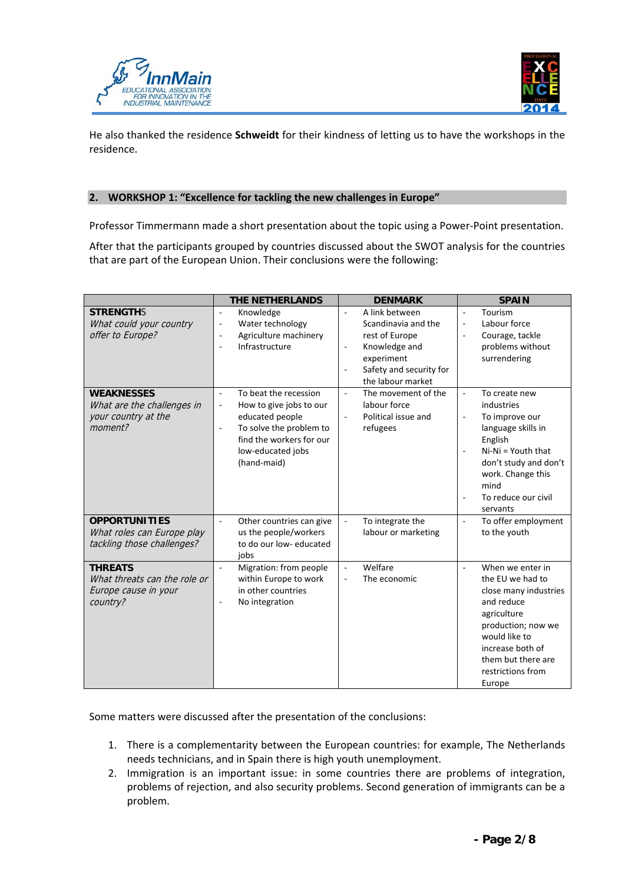



He also thanked the residence **Schweidt** for their kindness of letting us to have the workshops in the residence.

## **2. WORKSHOP 1: "Excellence for tackling the new challenges in Europe"**

Professor Timmermann made a short presentation about the topic using a Power‐Point presentation.

After that the participants grouped by countries discussed about the SWOT analysis for the countries that are part of the European Union. Their conclusions were the following:

|                                                                                    | <b>THE NETHERLANDS</b>                                                                                                                                                          | <b>DENMARK</b>                                                                                                                                                                      | <b>SPAIN</b>                                                                                                                                                                                                                                            |
|------------------------------------------------------------------------------------|---------------------------------------------------------------------------------------------------------------------------------------------------------------------------------|-------------------------------------------------------------------------------------------------------------------------------------------------------------------------------------|---------------------------------------------------------------------------------------------------------------------------------------------------------------------------------------------------------------------------------------------------------|
| <b>STRENGTHS</b><br>What could your country<br>offer to Europe?                    | Knowledge<br>÷,<br>Water technology<br>$\qquad \qquad \blacksquare$<br>Agriculture machinery<br>÷,<br>Infrastructure<br>ä,                                                      | A link between<br>$\overline{\phantom{a}}$<br>Scandinavia and the<br>rest of Europe<br>Knowledge and<br>$\qquad \qquad \blacksquare$<br>experiment<br>Safety and security for<br>÷, | Tourism<br>$\sim$<br>Labour force<br>$\overline{\phantom{a}}$<br>Courage, tackle<br>$\overline{\phantom{a}}$<br>problems without<br>surrendering                                                                                                        |
| <b>WEAKNESSES</b><br>What are the challenges in<br>your country at the<br>moment?  | To beat the recession<br>÷,<br>How to give jobs to our<br>÷<br>educated people<br>To solve the problem to<br>÷,<br>find the workers for our<br>low-educated jobs<br>(hand-maid) | the labour market<br>The movement of the<br>$\overline{\phantom{a}}$<br>labour force<br>Political issue and<br>$\overline{\phantom{a}}$<br>refugees                                 | To create new<br>$\overline{\phantom{a}}$<br>industries<br>To improve our<br>$\overline{\phantom{a}}$<br>language skills in<br>English<br>$Ni-Ni = Youth that$<br>don't study and don't<br>work. Change this<br>mind<br>To reduce our civil<br>servants |
| <b>OPPORTUNITIES</b><br>What roles can Europe play<br>tackling those challenges?   | Other countries can give<br>÷,<br>us the people/workers<br>to do our low-educated<br>jobs                                                                                       | To integrate the<br>$\overline{\phantom{a}}$<br>labour or marketing                                                                                                                 | To offer employment<br>$\overline{\phantom{a}}$<br>to the youth                                                                                                                                                                                         |
| <b>THREATS</b><br>What threats can the role or<br>Europe cause in your<br>country? | Migration: from people<br>within Europe to work<br>in other countries<br>No integration<br>÷,                                                                                   | Welfare<br>$\overline{\phantom{a}}$<br>The economic<br>$\overline{\phantom{a}}$                                                                                                     | When we enter in<br>$\overline{a}$<br>the EU we had to<br>close many industries<br>and reduce<br>agriculture<br>production; now we<br>would like to<br>increase both of<br>them but there are<br>restrictions from<br>Europe                            |

Some matters were discussed after the presentation of the conclusions:

- 1. There is a complementarity between the European countries: for example, The Netherlands needs technicians, and in Spain there is high youth unemployment.
- 2. Immigration is an important issue: in some countries there are problems of integration, problems of rejection, and also security problems. Second generation of immigrants can be a problem.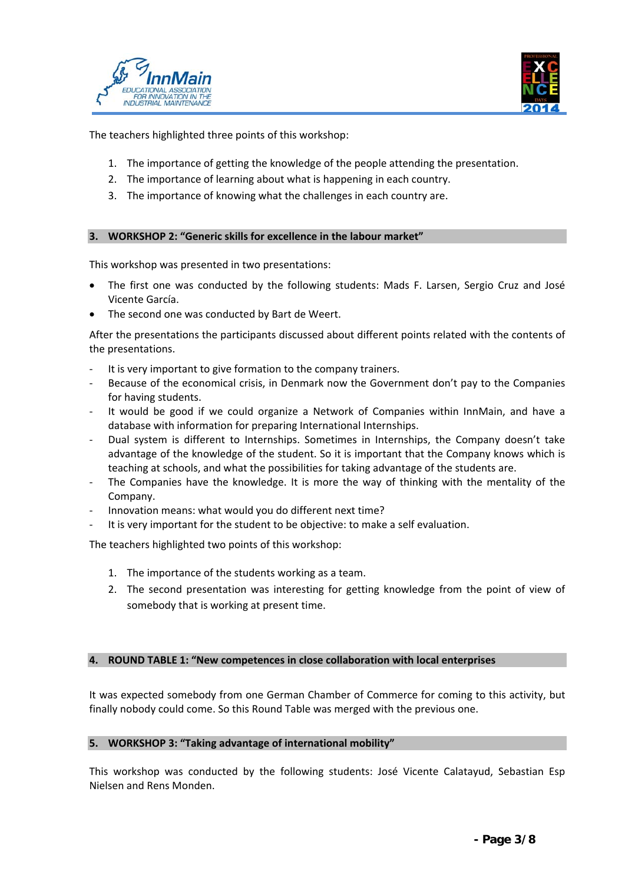



The teachers highlighted three points of this workshop:

- 1. The importance of getting the knowledge of the people attending the presentation.
- 2. The importance of learning about what is happening in each country.
- 3. The importance of knowing what the challenges in each country are.

## **3. WORKSHOP 2: "Generic skills for excellence in the labour market"**

This workshop was presented in two presentations:

- The first one was conducted by the following students: Mads F. Larsen, Sergio Cruz and José Vicente García.
- The second one was conducted by Bart de Weert.

After the presentations the participants discussed about different points related with the contents of the presentations.

- It is very important to give formation to the company trainers.
- Because of the economical crisis, in Denmark now the Government don't pay to the Companies for having students.
- ‐ It would be good if we could organize a Network of Companies within InnMain, and have a database with information for preparing International Internships.
- ‐ Dual system is different to Internships. Sometimes in Internships, the Company doesn't take advantage of the knowledge of the student. So it is important that the Company knows which is teaching at schools, and what the possibilities for taking advantage of the students are.
- The Companies have the knowledge. It is more the way of thinking with the mentality of the Company.
- ‐ Innovation means: what would you do different next time?
- It is very important for the student to be objective: to make a self evaluation.

The teachers highlighted two points of this workshop:

- 1. The importance of the students working as a team.
- 2. The second presentation was interesting for getting knowledge from the point of view of somebody that is working at present time.

## **4. ROUND TABLE 1: "New competences in close collaboration with local enterprises**

It was expected somebody from one German Chamber of Commerce for coming to this activity, but finally nobody could come. So this Round Table was merged with the previous one.

## **5. WORKSHOP 3: "Taking advantage of international mobility"**

This workshop was conducted by the following students: José Vicente Calatayud, Sebastian Esp Nielsen and Rens Monden.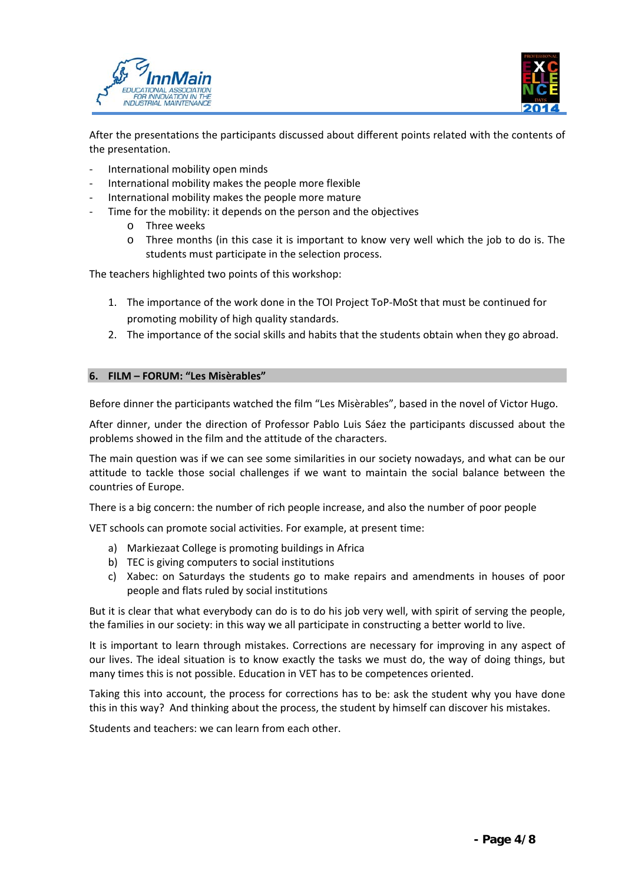



After the presentations the participants discussed about different points related with the contents of the presentation.

- ‐ International mobility open minds
- ‐ International mobility makes the people more flexible
- ‐ International mobility makes the people more mature
- Time for the mobility: it depends on the person and the objectives
	- o Three weeks
	- o Three months (in this case it is important to know very well which the job to do is. The students must participate in the selection process.

The teachers highlighted two points of this workshop:

- 1. The importance of the work done in the TOI Project ToP-MoSt that must be continued for promoting mobility of high quality standards.
- 2. The importance of the social skills and habits that the students obtain when they go abroad.

## **6. FILM – FORUM: "Les Misèrables"**

Before dinner the participants watched the film "Les Misèrables", based in the novel of Victor Hugo.

After dinner, under the direction of Professor Pablo Luis Sáez the participants discussed about the problems showed in the film and the attitude of the characters.

The main question was if we can see some similarities in our society nowadays, and what can be our attitude to tackle those social challenges if we want to maintain the social balance between the countries of Europe.

There is a big concern: the number of rich people increase, and also the number of poor people

VET schools can promote social activities. For example, at present time:

- a) Markiezaat College is promoting buildings in Africa
- b) TEC is giving computers to social institutions
- c) Xabec: on Saturdays the students go to make repairs and amendments in houses of poor people and flats ruled by social institutions

But it is clear that what everybody can do is to do his job very well, with spirit of serving the people, the families in our society: in this way we all participate in constructing a better world to live.

It is important to learn through mistakes. Corrections are necessary for improving in any aspect of our lives. The ideal situation is to know exactly the tasks we must do, the way of doing things, but many times this is not possible. Education in VET has to be competences oriented.

Taking this into account, the process for corrections has to be: ask the student why you have done this in this way? And thinking about the process, the student by himself can discover his mistakes.

Students and teachers: we can learn from each other.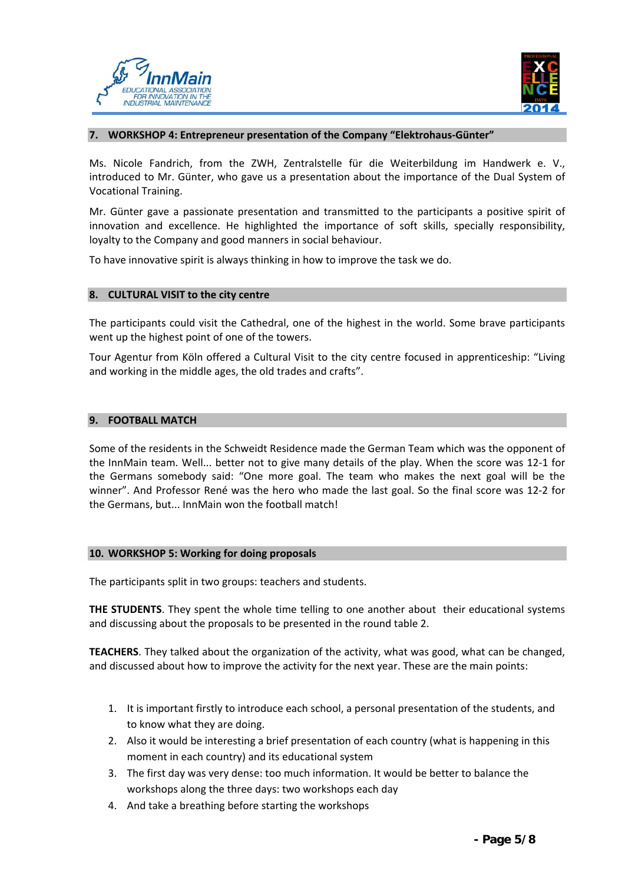



#### **7. WORKSHOP 4: Entrepreneur presentation of the Company "Elektrohaus‐Günter"**

Ms. Nicole Fandrich, from the ZWH, Zentralstelle für die Weiterbildung im Handwerk e. V., introduced to Mr. Günter, who gave us a presentation about the importance of the Dual System of Vocational Training.

Mr. Günter gave a passionate presentation and transmitted to the participants a positive spirit of innovation and excellence. He highlighted the importance of soft skills, specially responsibility, loyalty to the Company and good manners in social behaviour.

To have innovative spirit is always thinking in how to improve the task we do.

## **8. CULTURAL VISIT to the city centre**

The participants could visit the Cathedral, one of the highest in the world. Some brave participants went up the highest point of one of the towers.

Tour Agentur from Köln offered a Cultural Visit to the city centre focused in apprenticeship: "Living and working in the middle ages, the old trades and crafts".

## **9. FOOTBALL MATCH**

Some of the residents in the Schweidt Residence made the German Team which was the opponent of the InnMain team. Well... better not to give many details of the play. When the score was 12‐1 for the Germans somebody said: "One more goal. The team who makes the next goal will be the winner". And Professor René was the hero who made the last goal. So the final score was 12‐2 for the Germans, but... InnMain won the football match!

#### **10. WORKSHOP 5: Working for doing proposals**

The participants split in two groups: teachers and students.

**THE STUDENTS**. They spent the whole time telling to one another about their educational systems and discussing about the proposals to be presented in the round table 2.

**TEACHERS**. They talked about the organization of the activity, what was good, what can be changed, and discussed about how to improve the activity for the next year. These are the main points:

- 1. It is important firstly to introduce each school, a personal presentation of the students, and to know what they are doing.
- 2. Also it would be interesting a brief presentation of each country (what is happening in this moment in each country) and its educational system
- 3. The first day was very dense: too much information. It would be better to balance the workshops along the three days: two workshops each day
- 4. And take a breathing before starting the workshops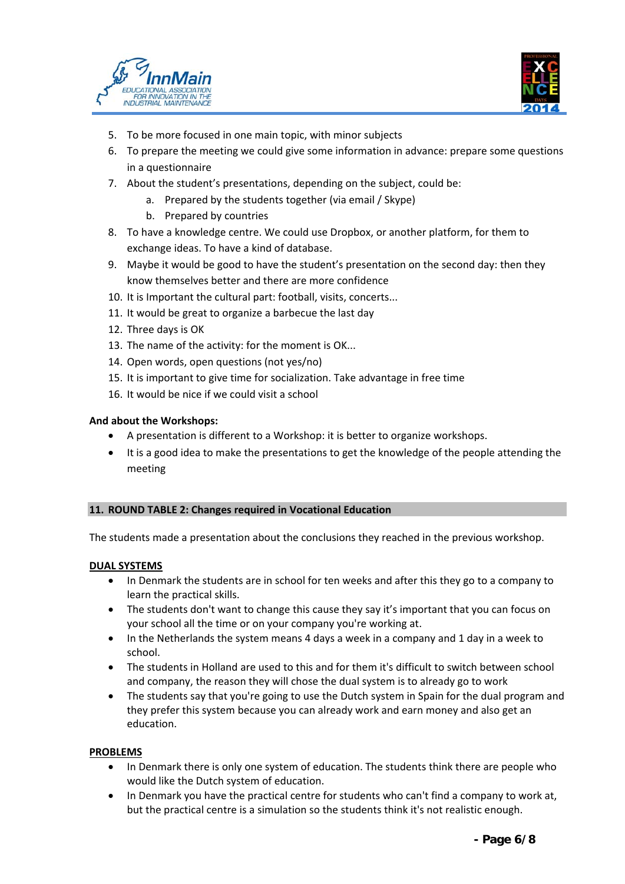



- 5. To be more focused in one main topic, with minor subjects
- 6. To prepare the meeting we could give some information in advance: prepare some questions in a questionnaire
- 7. About the student's presentations, depending on the subject, could be:
	- a. Prepared by the students together (via email / Skype)
	- b. Prepared by countries
- 8. To have a knowledge centre. We could use Dropbox, or another platform, for them to exchange ideas. To have a kind of database.
- 9. Maybe it would be good to have the student's presentation on the second day: then they know themselves better and there are more confidence
- 10. It is Important the cultural part: football, visits, concerts...
- 11. It would be great to organize a barbecue the last day
- 12. Three days is OK
- 13. The name of the activity: for the moment is OK...
- 14. Open words, open questions (not yes/no)
- 15. It is important to give time for socialization. Take advantage in free time
- 16. It would be nice if we could visit a school

## **And about the Workshops:**

- A presentation is different to a Workshop: it is better to organize workshops.
- It is a good idea to make the presentations to get the knowledge of the people attending the meeting

## **11. ROUND TABLE 2: Changes required in Vocational Education**

The students made a presentation about the conclusions they reached in the previous workshop.

## **DUAL SYSTEMS**

- In Denmark the students are in school for ten weeks and after this they go to a company to learn the practical skills.
- The students don't want to change this cause they say it's important that you can focus on your school all the time or on your company you're working at.
- In the Netherlands the system means 4 days a week in a company and 1 day in a week to school.
- The students in Holland are used to this and for them it's difficult to switch between school and company, the reason they will chose the dual system is to already go to work
- The students say that you're going to use the Dutch system in Spain for the dual program and they prefer this system because you can already work and earn money and also get an education.

## **PROBLEMS**

- In Denmark there is only one system of education. The students think there are people who would like the Dutch system of education.
- In Denmark you have the practical centre for students who can't find a company to work at, but the practical centre is a simulation so the students think it's not realistic enough.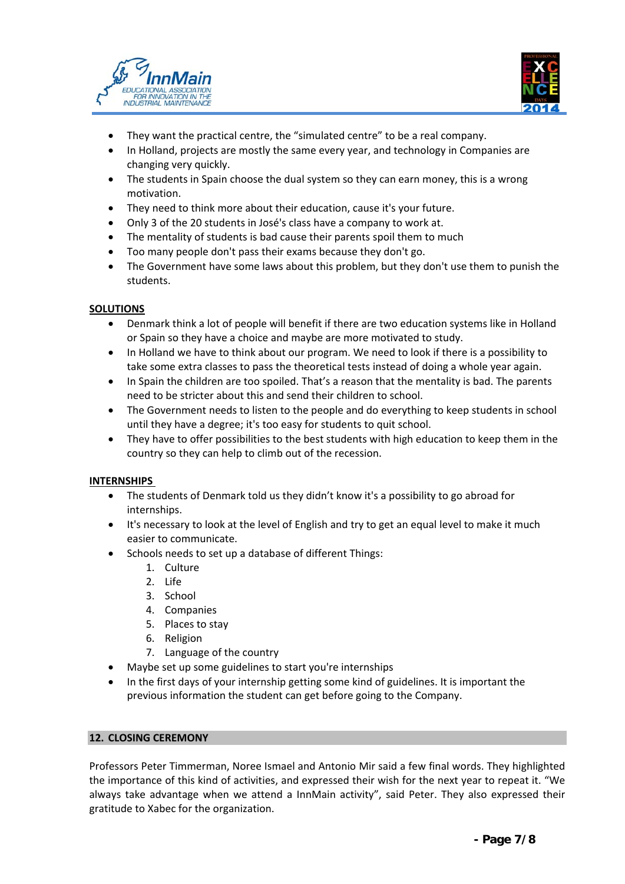



- They want the practical centre, the "simulated centre" to be a real company.
- In Holland, projects are mostly the same every year, and technology in Companies are changing very quickly.
- The students in Spain choose the dual system so they can earn money, this is a wrong motivation.
- They need to think more about their education, cause it's your future.
- Only 3 of the 20 students in José's class have a company to work at.
- The mentality of students is bad cause their parents spoil them to much
- Too many people don't pass their exams because they don't go.
- The Government have some laws about this problem, but they don't use them to punish the students.

## **SOLUTIONS**

- Denmark think a lot of people will benefit if there are two education systems like in Holland or Spain so they have a choice and maybe are more motivated to study.
- In Holland we have to think about our program. We need to look if there is a possibility to take some extra classes to pass the theoretical tests instead of doing a whole year again.
- In Spain the children are too spoiled. That's a reason that the mentality is bad. The parents need to be stricter about this and send their children to school.
- The Government needs to listen to the people and do everything to keep students in school until they have a degree; it's too easy for students to quit school.
- They have to offer possibilities to the best students with high education to keep them in the country so they can help to climb out of the recession.

## **INTERNSHIPS**

- The students of Denmark told us they didn't know it's a possibility to go abroad for internships.
- It's necessary to look at the level of English and try to get an equal level to make it much easier to communicate.
- Schools needs to set up a database of different Things:
	- 1. Culture
	- 2. Life
	- 3. School
	- 4. Companies
	- 5. Places to stay
	- 6. Religion
	- 7. Language of the country
- Maybe set up some guidelines to start you're internships
- In the first days of your internship getting some kind of guidelines. It is important the previous information the student can get before going to the Company.

## **12. CLOSING CEREMONY**

Professors Peter Timmerman, Noree Ismael and Antonio Mir said a few final words. They highlighted the importance of this kind of activities, and expressed their wish for the next year to repeat it. "We always take advantage when we attend a InnMain activity", said Peter. They also expressed their gratitude to Xabec for the organization.